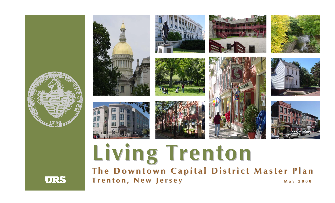

# **L i v i n g T r e n t o n** The Downtown Capital District Master Plan **T r e n t o n , N e w J e r s e y Ma y 2 0 0 8**

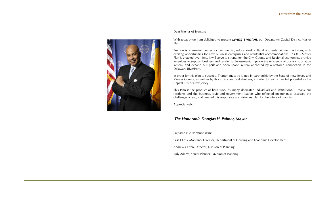

### Dear Friends of Trenton:

With great pride I am delighted to present *Living Trenton*, our Downtown Capital District Master Plan.

Trenton is a growing center for commercial, educational, cultural and entertainment activities, with exciting opportunities for new business enterprises and residential accommodations. As this Master Plan is enacted over time, it will serve to strengthen the City, County and Regional economies, provide amenities to support business and residential investment, improve the efficiency of our transportation system, and expand our park and open space system anchored by a restored connection to the Delaware Riverfront.

In order for this plan to succeed, Trenton must be joined in partnership by the State of New Jersey and Mercer County, as well as by its citizens and stakeholders, in order to realize our full potential as the Capital City of New Jersey.

This Plan is the product of hard work by many dedicated individuals and institutions. I thank our residents and the business, civic and government leaders who reflected on our past, assessed the challenges ahead, and created this responsive and visionary plan for the future of our city.

Appreciatively,

### *The Honorable Douglas H. Palmer, Mayor*

*Prepared in Association with:* 

Sasa Olessi Montaño, Director, Department of Housing and Economic Development

Andrew Carten, Director, Division of Planning

Judy Adams, Senior Planner, Division of Planning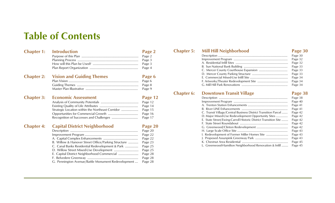# **Table of Contents**

| <b>Chapter 1:</b> | <b>Introduction</b>                                 | Page 2  |
|-------------------|-----------------------------------------------------|---------|
|                   |                                                     | Page 2  |
|                   |                                                     | Page 3  |
|                   |                                                     | Page 3  |
|                   |                                                     | Page 4  |
| <b>Chapter 2:</b> | <b>Vision and Guiding Themes</b>                    | Page 6  |
|                   |                                                     | Page 6  |
|                   |                                                     | Page 8  |
|                   |                                                     | Page 9  |
| <b>Chapter 3:</b> | <b>Economic Assessment</b>                          | Page 12 |
|                   |                                                     | Page 12 |
|                   |                                                     | Page 14 |
|                   | Strategic Location within the Northeast Corridor    | Page 15 |
|                   |                                                     | Page 16 |
|                   |                                                     | Page 17 |
| <b>Chapter 4:</b> | <b>Capital District Neighborhood</b>                | Page 20 |
|                   |                                                     | Page 20 |
|                   |                                                     | Page 22 |
|                   |                                                     | Page 22 |
|                   | B. Willow & Hanover Street Office/Parking Structure | Page 23 |
|                   | C. Canal Banks Residential Redevelopment & Park     | Page 25 |
|                   |                                                     | Page 25 |
|                   |                                                     | Page 28 |
|                   |                                                     | Page 28 |

| G. Pennington Avenue/Battle Monument Redevelopment | Page 28 |
|----------------------------------------------------|---------|

# **Chapter 5: Mill Hill Neighborhood Page 30**

|  | Page 30 |
|--|---------|
|  | Page 32 |
|  | Page 32 |
|  | Page 33 |
|  |         |
|  | Page 33 |
|  | Page 34 |
|  | Page 34 |
|  |         |
|  |         |

## **Chapter 6:** Downtown Transit Village **Page 38**

|                                                                 | Page 38 |
|-----------------------------------------------------------------|---------|
|                                                                 | Page 40 |
|                                                                 | Page 41 |
|                                                                 | Page 41 |
| C. Transit Village/Central Business District Transition Parcel  | Page 42 |
| D. Major Mixed-Use Redevelopment Opportunity Sites              | Page 42 |
| E. State Street/Ewing-Carroll Historic District Transition Site | Page 42 |
|                                                                 | Page 42 |
|                                                                 | Page 42 |
|                                                                 | Page 43 |
| 1. Redevelopment of Former Miller Homes Site                    | Page 43 |
|                                                                 | Page 43 |
|                                                                 | Page 45 |
| L. Greenwood-Hamilton Neighborhood Renovation & Infill          | Page 45 |